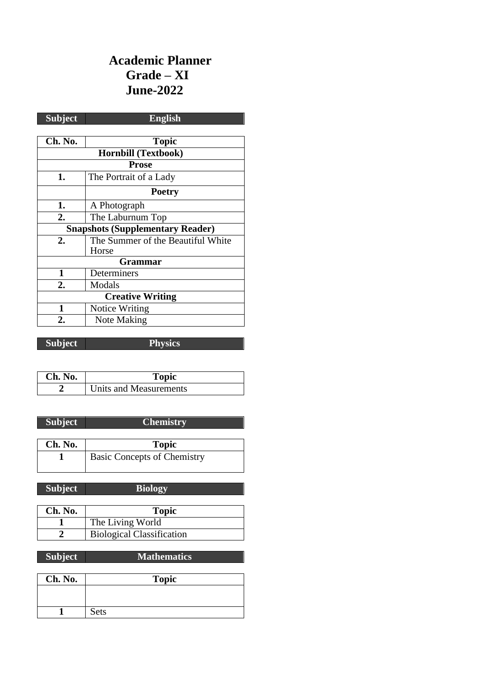# **Academic Planner Grade – XI June-2022**

| <b>Subject</b>                          | <b>English</b>                    |  |
|-----------------------------------------|-----------------------------------|--|
|                                         |                                   |  |
| Ch. No.                                 | <b>Topic</b>                      |  |
| <b>Hornbill (Textbook)</b>              |                                   |  |
| <b>Prose</b>                            |                                   |  |
| 1.                                      | The Portrait of a Lady            |  |
|                                         | <b>Poetry</b>                     |  |
| 1.                                      | A Photograph                      |  |
| 2.                                      | The Laburnum Top                  |  |
| <b>Snapshots (Supplementary Reader)</b> |                                   |  |
| 2.                                      | The Summer of the Beautiful White |  |
|                                         | Horse                             |  |
|                                         | <b>Grammar</b>                    |  |
| 1                                       | Determiners                       |  |
| $\overline{2}$ .                        | Modals                            |  |
| <b>Creative Writing</b>                 |                                   |  |
| 1                                       | Notice Writing                    |  |
| 2.                                      | Note Making                       |  |

**Subject Physics**

| Ch. No. | Topic                  |
|---------|------------------------|
|         | Units and Measurements |

| <b>Subject</b> | <b>Chemistry</b>                   |
|----------------|------------------------------------|
|                |                                    |
| Ch. No.        | <b>Topic</b>                       |
|                | <b>Basic Concepts of Chemistry</b> |

| <b>Subject</b> | <b>Biology</b>   |
|----------------|------------------|
|                |                  |
| Ch. No.        | <b>Topic</b>     |
|                | The Living World |
|                | - --             |

| $\frac{1}{10}$ Let $\frac{1}{10}$ $\frac{1}{10}$ $\frac{1}{10}$ |
|-----------------------------------------------------------------|
| <b>Biological Classification</b>                                |
|                                                                 |

| <b>Subject</b> | <b>Mathematics</b> |
|----------------|--------------------|
|                |                    |
| Ch. No.        | <b>Topic</b>       |
|                |                    |
|                |                    |
|                | Sets               |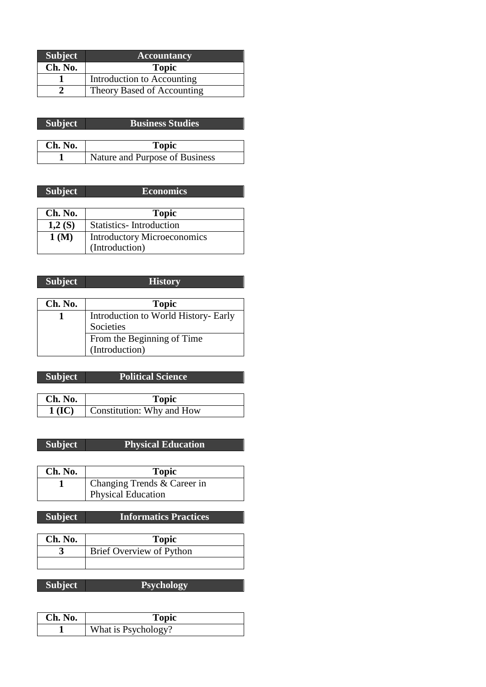| <b>Subject</b> | <b>Accountancy</b>         |
|----------------|----------------------------|
| Ch. No.        | <b>Topic</b>               |
|                | Introduction to Accounting |
|                | Theory Based of Accounting |

| <b>Subject</b> | <b>Business Studies</b>        |
|----------------|--------------------------------|
|                |                                |
| Ch. No.        | <b>Topic</b>                   |
|                | Nature and Purpose of Business |

| <b>Subject</b> | <b>Economics</b>                   |
|----------------|------------------------------------|
|                |                                    |
| Ch. No.        | <b>Topic</b>                       |
| 1,2(S)         | <b>Statistics-Introduction</b>     |
| 1(M)           | <b>Introductory Microeconomics</b> |
|                | (Introduction)                     |

### **Subject History**

| Ch. No. | <b>Topic</b>                         |
|---------|--------------------------------------|
|         | Introduction to World History- Early |
|         | Societies                            |
|         | From the Beginning of Time           |
|         | (Introduction)                       |

| <b>Subject</b> | <b>Political Science</b>  |
|----------------|---------------------------|
|                |                           |
| Ch. No.        | <b>Topic</b>              |
| $1$ (IC)       | Constitution: Why and How |

# **Subject Physical Education**

| Ch. No. | <b>Topic</b>                |
|---------|-----------------------------|
|         | Changing Trends & Career in |
|         | <b>Physical Education</b>   |

# **Subject Informatics Practices**

| Ch. No. | Topic                    |
|---------|--------------------------|
|         | Brief Overview of Python |
|         |                          |

| Ch. No. | Topic               |
|---------|---------------------|
|         | What is Psychology? |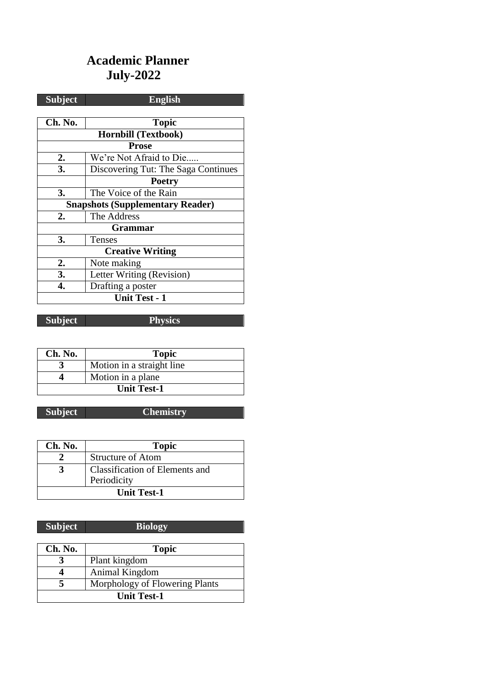# **Academic Planner July-2022**

| <b>Subject</b>                          | <b>English</b>                      |
|-----------------------------------------|-------------------------------------|
|                                         |                                     |
| Ch. No.                                 | <b>Topic</b>                        |
| <b>Hornbill (Textbook)</b>              |                                     |
|                                         | <b>Prose</b>                        |
| 2.                                      | We're Not Afraid to Die             |
| 3.                                      | Discovering Tut: The Saga Continues |
|                                         | <b>Poetry</b>                       |
| 3.                                      | The Voice of the Rain               |
| <b>Snapshots (Supplementary Reader)</b> |                                     |
| $\overline{2}$ .                        | The Address                         |
|                                         | Grammar                             |
| 3.                                      | Tenses                              |
| <b>Creative Writing</b>                 |                                     |
| 2.                                      | Note making                         |
| 3.                                      | Letter Writing (Revision)           |
| 4.                                      | Drafting a poster                   |
| <b>Unit Test - 1</b>                    |                                     |

**Subject Physics**

| Ch. No.            | <b>Topic</b>              |
|--------------------|---------------------------|
|                    | Motion in a straight line |
|                    | Motion in a plane         |
| <b>Unit Test-1</b> |                           |

# **Subject Chemistry**

| Ch. No.            | <b>Topic</b>                          |
|--------------------|---------------------------------------|
|                    | <b>Structure of Atom</b>              |
|                    | <b>Classification of Elements and</b> |
|                    | Periodicity                           |
| <b>Unit Test-1</b> |                                       |

| <b>Subject</b>     | <b>Biology</b>                 |
|--------------------|--------------------------------|
|                    |                                |
| Ch. No.            | <b>Topic</b>                   |
|                    | Plant kingdom                  |
|                    | Animal Kingdom                 |
|                    | Morphology of Flowering Plants |
| <b>Unit Test-1</b> |                                |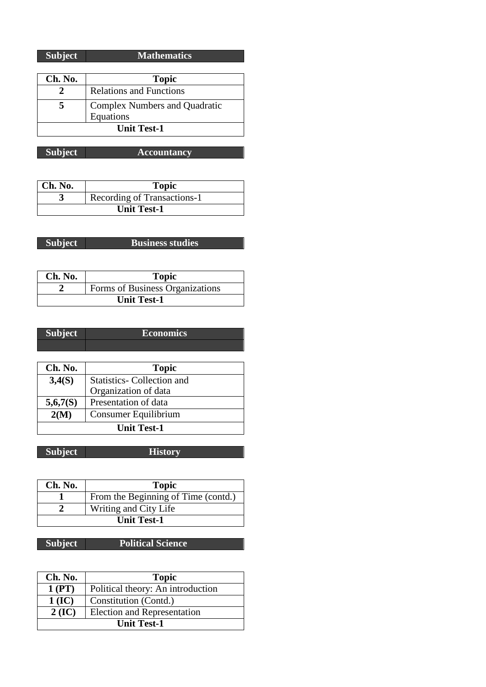| <b>Subject</b> | <b>Mathematics</b> |
|----------------|--------------------|

| Ch. No.            | <b>Topic</b>                         |
|--------------------|--------------------------------------|
|                    | <b>Relations and Functions</b>       |
|                    | <b>Complex Numbers and Quadratic</b> |
|                    | Equations                            |
| <b>Unit Test-1</b> |                                      |

**Subject Accountancy**

| $ $ Ch. No.        | <b>Topic</b>                |
|--------------------|-----------------------------|
|                    | Recording of Transactions-1 |
| <b>Unit Test-1</b> |                             |

| <b>Subject</b> | <b>Business studies</b> |
|----------------|-------------------------|

| Ch. No.            | <b>Topic</b>                    |
|--------------------|---------------------------------|
|                    | Forms of Business Organizations |
| <b>Unit Test-1</b> |                                 |

| Subject | <b>Economics</b> |
|---------|------------------|
|         |                  |

| Ch. No.            | <b>Topic</b>              |
|--------------------|---------------------------|
| 3,4(S)             | Statistics-Collection and |
|                    | Organization of data      |
| 5,6,7(S)           | Presentation of data      |
| 2(M)               | Consumer Equilibrium      |
| <b>Unit Test-1</b> |                           |

| <b>Subject</b><br><b>History</b> |
|----------------------------------|
|----------------------------------|

| Ch. No. | <b>Topic</b>                        |
|---------|-------------------------------------|
|         | From the Beginning of Time (contd.) |
|         | Writing and City Life               |
|         | <b>Unit Test-1</b>                  |

# **Subject Political Science**

| Ch. No.            | <b>Topic</b>                       |
|--------------------|------------------------------------|
| 1 (PT)             | Political theory: An introduction  |
| $1$ (IC)           | Constitution (Contd.)              |
| $2$ (IC)           | <b>Election and Representation</b> |
| <b>Unit Test-1</b> |                                    |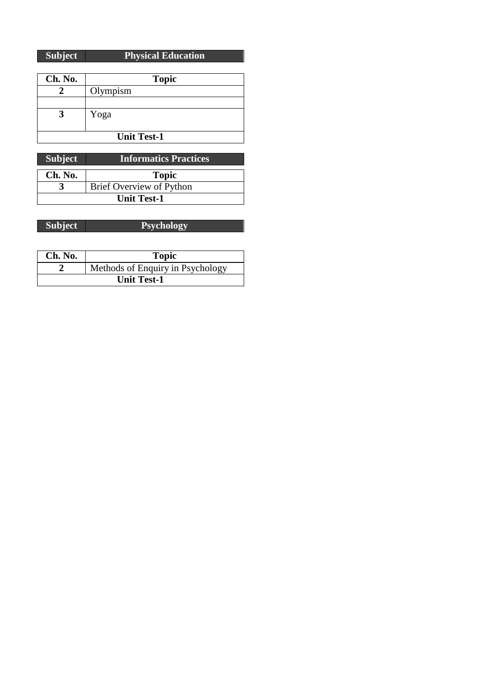### **Subject Physical Education**

| Ch. No.            | <b>Topic</b> |
|--------------------|--------------|
|                    | Olympism     |
|                    |              |
|                    | Yoga         |
|                    |              |
| <b>Unit Test-1</b> |              |

| <b>Subject</b>     | <b>Informatics Practices</b> |
|--------------------|------------------------------|
| Ch. No.            | <b>Topic</b>                 |
|                    | Brief Overview of Python     |
| <b>Unit Test-1</b> |                              |

| <b>Subject</b> | <b>Psychology</b> |
|----------------|-------------------|

| Ch. No.            | <b>Topic</b>                     |
|--------------------|----------------------------------|
|                    | Methods of Enquiry in Psychology |
| <b>Unit Test-1</b> |                                  |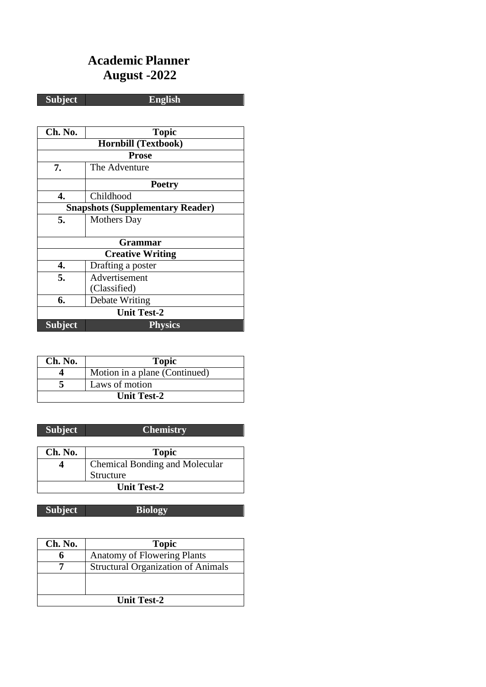# **Academic Planner August -2022**

**Subject English**

| Ch. No.                                 | <b>Topic</b>               |  |
|-----------------------------------------|----------------------------|--|
|                                         | <b>Hornbill (Textbook)</b> |  |
| <b>Prose</b>                            |                            |  |
| 7.                                      | The Adventure              |  |
|                                         | <b>Poetry</b>              |  |
| 4.                                      | Childhood                  |  |
| <b>Snapshots (Supplementary Reader)</b> |                            |  |
| 5.                                      | <b>Mothers</b> Day         |  |
|                                         |                            |  |
|                                         | Grammar                    |  |
| <b>Creative Writing</b>                 |                            |  |
| 4.                                      | Drafting a poster          |  |
| 5.                                      | Advertisement              |  |
|                                         | (Classified)               |  |
| 6.                                      | Debate Writing             |  |
| <b>Unit Test-2</b>                      |                            |  |
| <b>Subject</b>                          | <b>Physics</b>             |  |

| Ch. No.            | <b>Topic</b>                  |
|--------------------|-------------------------------|
|                    | Motion in a plane (Continued) |
|                    | Laws of motion                |
| <b>Unit Test-2</b> |                               |

| <b>Subject</b>     | <b>Chemistry</b>                      |
|--------------------|---------------------------------------|
|                    |                                       |
| Ch. No.            | <b>Topic</b>                          |
|                    | <b>Chemical Bonding and Molecular</b> |
|                    | Structure                             |
| <b>Unit Test-2</b> |                                       |

| <b>Subject</b> | <b>Biology</b> |
|----------------|----------------|
|                |                |

| Ch. No.            | <b>Topic</b>                              |
|--------------------|-------------------------------------------|
|                    | <b>Anatomy of Flowering Plants</b>        |
|                    | <b>Structural Organization of Animals</b> |
|                    |                                           |
|                    |                                           |
| <b>Unit Test-2</b> |                                           |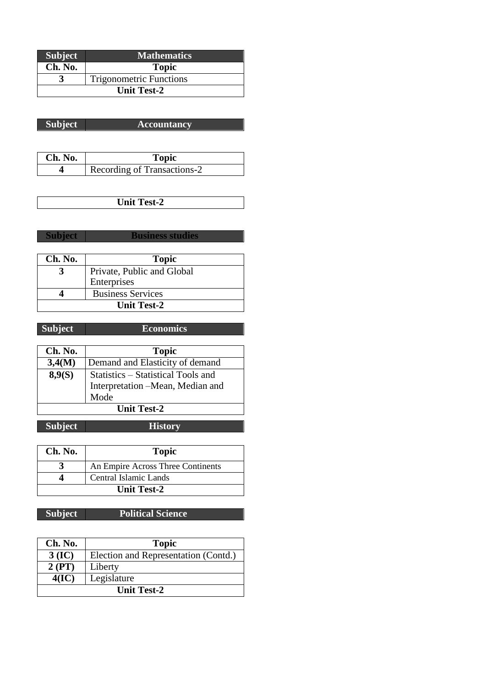| <b>Subject</b>     | <b>Mathematics</b>             |
|--------------------|--------------------------------|
| Ch. No.            | <b>Topic</b>                   |
|                    | <b>Trigonometric Functions</b> |
| <b>Unit Test-2</b> |                                |

| <b>Subject</b> | <b>Accountancy</b> |
|----------------|--------------------|

| Ch. No. | <b>Topic</b>                |
|---------|-----------------------------|
|         | Recording of Transactions-2 |

**Unit Test-2**

**Subject Business studies**

| Ch. No.            | <b>Topic</b>               |
|--------------------|----------------------------|
|                    | Private, Public and Global |
|                    | Enterprises                |
|                    | <b>Business Services</b>   |
| <b>Unit Test-2</b> |                            |

| <b>Subject</b>     | <b>Economics</b>                   |
|--------------------|------------------------------------|
|                    |                                    |
| Ch. No.            | <b>Topic</b>                       |
| 3,4(M)             | Demand and Elasticity of demand    |
| 8,9(S)             | Statistics – Statistical Tools and |
|                    | Interpretation -Mean, Median and   |
|                    | Mode                               |
| <b>Unit Test-2</b> |                                    |

**Subject History**

| Ch. No.     | <b>Topic</b>                      |
|-------------|-----------------------------------|
|             | An Empire Across Three Continents |
|             | Central Islamic Lands             |
| Unit Test-2 |                                   |

### **Subject Political Science**

| Ch. No.            | <b>Topic</b>                         |
|--------------------|--------------------------------------|
| $3$ (IC)           | Election and Representation (Contd.) |
| 2 (PT)             | Liberty                              |
| 4(IC)              | Legislature                          |
| <b>Unit Test-2</b> |                                      |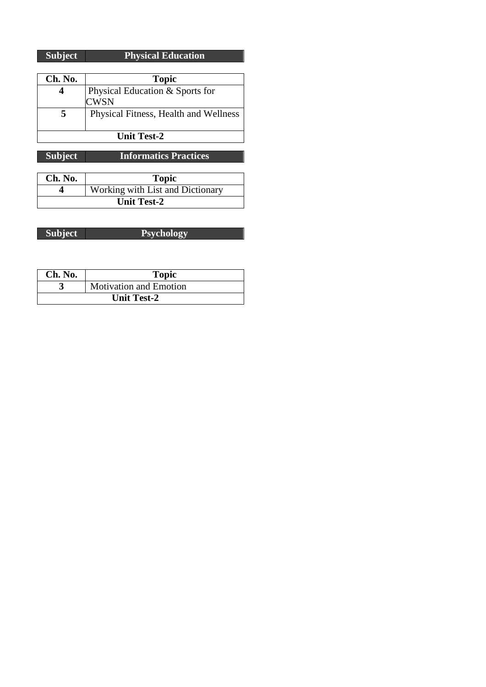| Subject | <b>Physical Education</b> |
|---------|---------------------------|

| Ch. No.            | <b>Topic</b>                          |
|--------------------|---------------------------------------|
|                    | Physical Education & Sports for       |
|                    | <b>CWSN</b>                           |
| 5                  | Physical Fitness, Health and Wellness |
|                    |                                       |
| <b>Unit Test-2</b> |                                       |
|                    |                                       |

**Subject Informatics Practices**

| Ch. No.            | <b>Topic</b>                     |
|--------------------|----------------------------------|
|                    | Working with List and Dictionary |
| <b>Unit Test-2</b> |                                  |

| <b>Subject</b> | <b>Psychology</b> |
|----------------|-------------------|

| Ch. No.            | <b>Topic</b>                  |
|--------------------|-------------------------------|
|                    | <b>Motivation and Emotion</b> |
| <b>Unit Test-2</b> |                               |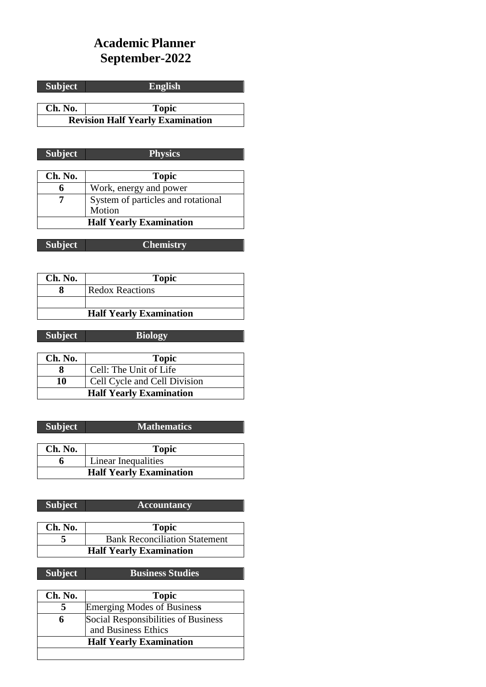# **Academic Planner September-2022**

**Subject English**

**Ch. No. Topic Revision Half Yearly Examination**

| <b>Subject</b> | <b>Physics</b>                     |
|----------------|------------------------------------|
|                |                                    |
| Ch. No.        | <b>Topic</b>                       |
| 6              | Work, energy and power             |
|                | System of particles and rotational |
|                | Motion                             |
|                | <b>Half Yearly Examination</b>     |

| Subject <sup>1</sup> | <b>Chemistry</b> |
|----------------------|------------------|
|                      |                  |

| Ch. No. | <b>Topic</b>                   |
|---------|--------------------------------|
|         | <b>Redox Reactions</b>         |
|         |                                |
|         | <b>Half Yearly Examination</b> |

| <b>Subject</b> | <b>Biology</b>               |
|----------------|------------------------------|
|                |                              |
| Ch. No.        | <b>Topic</b>                 |
|                | Cell: The Unit of Life       |
| . .            | 1.71.1<br>$\sim$ 11 $\sim$ 1 |

| 10                             | Cell Cycle and Cell Division |
|--------------------------------|------------------------------|
| <b>Half Yearly Examination</b> |                              |
|                                |                              |

| <b>Subject</b>                 | <b>Mathematics</b>  |
|--------------------------------|---------------------|
|                                |                     |
| Ch. No.                        | <b>Topic</b>        |
|                                | Linear Inequalities |
| <b>Half Yearly Examination</b> |                     |

| <b>Subject</b>                 | <b>Accountancy</b>                   |
|--------------------------------|--------------------------------------|
|                                |                                      |
| Ch. No.                        | <b>Topic</b>                         |
|                                | <b>Bank Reconciliation Statement</b> |
| <b>Half Yearly Examination</b> |                                      |

**Subject Business Studies**

| Ch. No.                        | <b>Topic</b>                        |
|--------------------------------|-------------------------------------|
|                                | <b>Emerging Modes of Business</b>   |
| 6                              | Social Responsibilities of Business |
|                                | and Business Ethics                 |
| <b>Half Yearly Examination</b> |                                     |
|                                |                                     |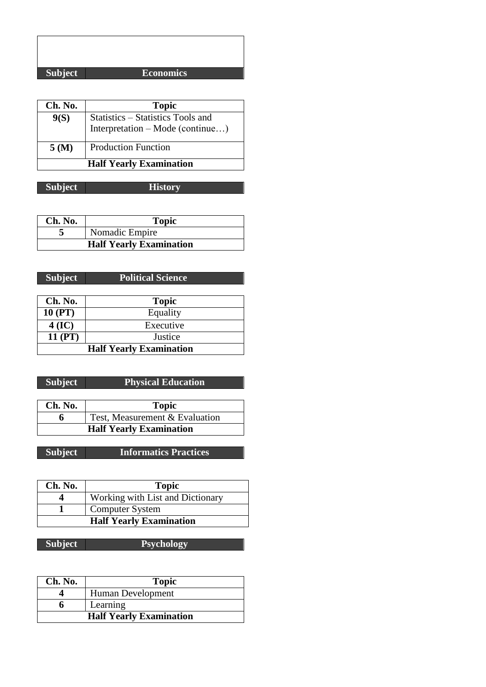### **Subject Economics**

| Ch. No.                        | <b>Topic</b>                                                          |
|--------------------------------|-----------------------------------------------------------------------|
| 9(S)                           | Statistics - Statistics Tools and<br>Interpretation – Mode (continue) |
| 5(M)                           | <b>Production Function</b>                                            |
| <b>Half Yearly Examination</b> |                                                                       |

**Subject History**

| Ch. No.                        | <b>Topic</b>   |
|--------------------------------|----------------|
|                                | Nomadic Empire |
| <b>Half Yearly Examination</b> |                |

| <b>Subject</b>                 | <b>Political Science</b> |
|--------------------------------|--------------------------|
|                                |                          |
| Ch. No.                        | <b>Topic</b>             |
| $10$ (PT)                      | Equality                 |
| $4$ (IC)                       | Executive                |
| 11 (PT)                        | Justice                  |
| <b>Half Yearly Examination</b> |                          |

| <b>Subject</b> | <b>Physical Education</b>      |
|----------------|--------------------------------|
|                |                                |
| Ch. No.        | <b>Topic</b>                   |
|                | Test, Measurement & Evaluation |
|                | <b>Half Yearly Examination</b> |

**Subject Informatics Practices**

| Ch. No. | <b>Topic</b>                     |
|---------|----------------------------------|
|         | Working with List and Dictionary |
|         | <b>Computer System</b>           |
|         | <b>Half Yearly Examination</b>   |

| Ch. No.                        | <b>Topic</b>      |
|--------------------------------|-------------------|
|                                | Human Development |
|                                | Learning          |
| <b>Half Yearly Examination</b> |                   |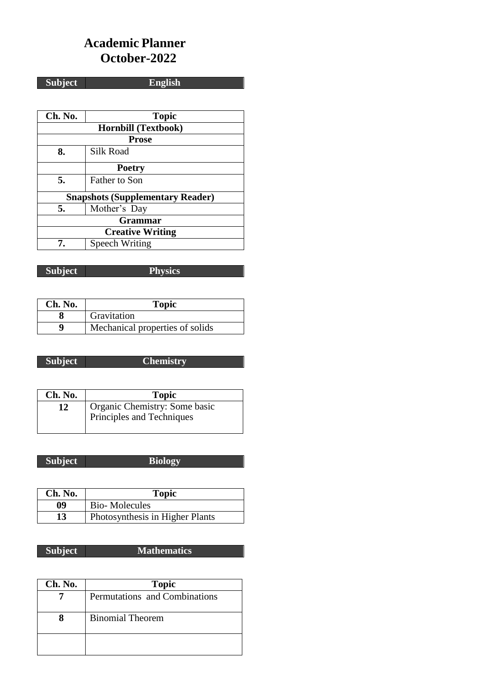### **Academic Planner October-2022**

**Subject English**

**Ch. No. Topic Hornbill (Textbook) Prose** 8. Silk Road **Poetry 5.** Father to Son **Snapshots (Supplementary Reader) 5.** Mother's Day **Grammar Creative Writing 7.** Speech Writing

**Subject Physics**

| Ch. No. | Topic                           |
|---------|---------------------------------|
|         | Gravitation                     |
| Q       | Mechanical properties of solids |

### **Subject Chemistry**

| Ch. No. | <b>Topic</b>                  |
|---------|-------------------------------|
| 12      | Organic Chemistry: Some basic |
|         | Principles and Techniques     |

| <b>Subject</b> | <b>Biology</b> |
|----------------|----------------|
|                |                |

| Ch. No. | <b>Topic</b>                    |
|---------|---------------------------------|
| 09      | <b>Bio-Molecules</b>            |
| 13      | Photosynthesis in Higher Plants |

### **Subject Mathematics**

| Ch. No. | <b>Topic</b>                  |
|---------|-------------------------------|
|         | Permutations and Combinations |
|         | <b>Binomial Theorem</b>       |
|         |                               |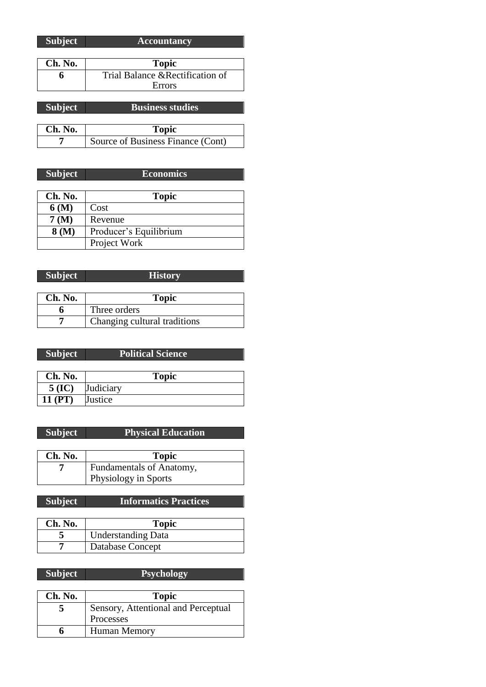| Subject        | <b>Accountancy</b>               |
|----------------|----------------------------------|
|                |                                  |
| Ch. No.        | <b>Topic</b>                     |
|                | Trial Balance & Rectification of |
|                | Errors                           |
|                |                                  |
| <b>Subject</b> | <b>Business studies</b>          |

| Ch. No. | Topic                             |
|---------|-----------------------------------|
|         | Source of Business Finance (Cont) |

| <b>Subject</b> | <b>Economics</b>       |
|----------------|------------------------|
|                |                        |
| Ch. No.        | <b>Topic</b>           |
| 6(M)           | Cost                   |
| 7 (M)          | Revenue                |
| 8 (M)          | Producer's Equilibrium |
|                | Project Work           |

| <b>Subject</b> | <b>History</b>               |
|----------------|------------------------------|
|                |                              |
| Ch. No.        | <b>Topic</b>                 |
|                | Three orders                 |
|                | Changing cultural traditions |

| <b>Subject</b> | <b>Political Science</b> |
|----------------|--------------------------|
|                |                          |
| Ch. No.        | <b>Topic</b>             |
| $5$ (IC)       | Judiciary                |
| 11 (PT)        | Justice                  |

| <b>Subject</b> | <b>Physical Education</b> |
|----------------|---------------------------|
|                |                           |
| Ch. No.        | <b>Topic</b>              |
|                | Fundamentals of Anatomy,  |
|                | Physiology in Sports      |

| <b>Subject</b> | <b>Informatics Practices</b> |
|----------------|------------------------------|
|                |                              |

| Ch. No. | <b>Topic</b>              |
|---------|---------------------------|
|         | <b>Understanding Data</b> |
|         | Database Concept          |

| Ch. No. | <b>Topic</b>                        |
|---------|-------------------------------------|
|         | Sensory, Attentional and Perceptual |
|         | Processes                           |
|         | <b>Human Memory</b>                 |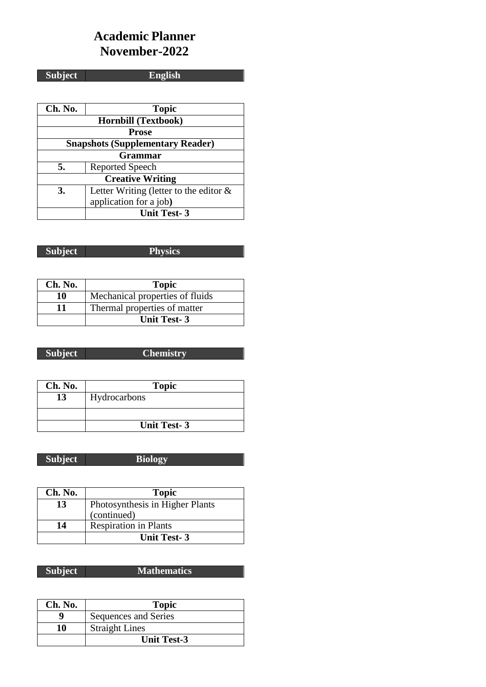# **Academic Planner November-2022**

# **Subject English**

| Ch. No.                                 | <b>Topic</b>                              |  |
|-----------------------------------------|-------------------------------------------|--|
|                                         | <b>Hornbill (Textbook)</b>                |  |
| <b>Prose</b>                            |                                           |  |
| <b>Snapshots (Supplementary Reader)</b> |                                           |  |
| Grammar                                 |                                           |  |
| 5.                                      | <b>Reported Speech</b>                    |  |
| <b>Creative Writing</b>                 |                                           |  |
| 3.                                      | Letter Writing (letter to the editor $\&$ |  |
|                                         | application for a job)                    |  |
|                                         | <b>Unit Test-3</b>                        |  |

| <b>Subject</b> | <b>Physics</b>                                                                                                                                                                                                                       |
|----------------|--------------------------------------------------------------------------------------------------------------------------------------------------------------------------------------------------------------------------------------|
| $P$ and $P$    | <u>the company of the company of the company of the company of the company of the company of the company of the company of the company of the company of the company of the company of the company of the company of the company</u> |

| Ch. No. | <b>Topic</b>                    |
|---------|---------------------------------|
| 10      | Mechanical properties of fluids |
| 11      | Thermal properties of matter    |
|         | <b>Unit Test-3</b>              |

| <b>Subject</b> | <b>Chemistry</b> |
|----------------|------------------|
|                |                  |

| Ch. No. | <b>Topic</b>       |
|---------|--------------------|
| 13      | Hydrocarbons       |
|         |                    |
|         | <b>Unit Test-3</b> |

| <b>Subject</b> | Biology |
|----------------|---------|
|                |         |

| Ch. No. | <b>Topic</b>                    |
|---------|---------------------------------|
| 13      | Photosynthesis in Higher Plants |
|         | (continued)                     |
| 14      | <b>Respiration in Plants</b>    |
|         | <b>Unit Test-3</b>              |

**Subject Mathematics** 

| Ch. No. | <b>Topic</b>          |
|---------|-----------------------|
|         | Sequences and Series  |
| 10      | <b>Straight Lines</b> |
|         | <b>Unit Test-3</b>    |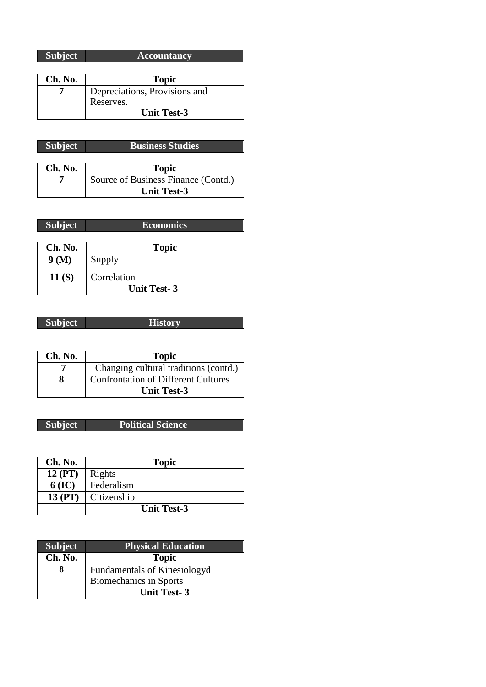| <b>Subject</b> | <b>Accountancy</b>            |
|----------------|-------------------------------|
|                |                               |
| Ch. No.        | <b>Topic</b>                  |
|                | Depreciations, Provisions and |
|                | Reserves.                     |
|                | <b>Unit Test-3</b>            |

| Subject | <b>Business Studies</b> |
|---------|-------------------------|

| Ch. No. | <b>Topic</b>                        |
|---------|-------------------------------------|
|         | Source of Business Finance (Contd.) |
|         | <b>Unit Test-3</b>                  |

| Subject            | <b>Economics</b> |
|--------------------|------------------|
|                    |                  |
| Ch. No.            | <b>Topic</b>     |
| 9(M)               | Supply           |
| 11(S)              | Correlation      |
| <b>Unit Test-3</b> |                  |

| ı | ٠<br>n |  |
|---|--------|--|
|   |        |  |

**History** 

| Ch. No. | <b>Topic</b>                               |
|---------|--------------------------------------------|
|         | Changing cultural traditions (contd.)      |
|         | <b>Confrontation of Different Cultures</b> |
|         | <b>Unit Test-3</b>                         |

### **Subject Political Science**

| Ch. No.  | <b>Topic</b>       |
|----------|--------------------|
| 12 (PT)  | Rights             |
| $6$ (IC) | Federalism         |
| 13 (PT)  | Citizenship        |
|          | <b>Unit Test-3</b> |

| <b>Subject</b> | <b>Physical Education</b>           |
|----------------|-------------------------------------|
| Ch. No.        | <b>Topic</b>                        |
|                | <b>Fundamentals of Kinesiologyd</b> |
|                | Biomechanics in Sports              |
|                | <b>Unit Test-3</b>                  |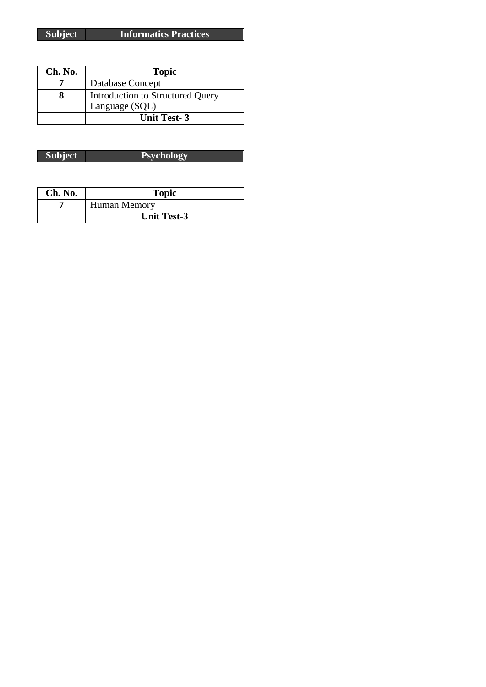| Ch. No. | <b>Topic</b>                     |
|---------|----------------------------------|
|         | Database Concept                 |
|         | Introduction to Structured Query |
|         | Language (SQL)                   |
|         | <b>Unit Test-3</b>               |

| Ch. No. | <b>Topic</b>        |  |
|---------|---------------------|--|
|         | <b>Human Memory</b> |  |
|         | <b>Unit Test-3</b>  |  |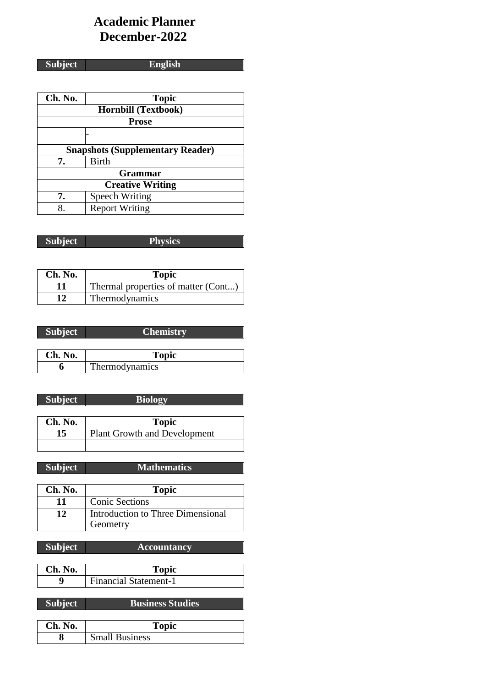# **Academic Planner December-2022**

| <b>Subject</b> |
|----------------|

# **Subject English**

| Ch. No.                                 | <b>Topic</b>               |
|-----------------------------------------|----------------------------|
|                                         | <b>Hornbill (Textbook)</b> |
| <b>Prose</b>                            |                            |
|                                         |                            |
| <b>Snapshots (Supplementary Reader)</b> |                            |
| 7.                                      | <b>Birth</b>               |
| <b>Grammar</b>                          |                            |
| <b>Creative Writing</b>                 |                            |
| 7.                                      | Speech Writing             |
| 8                                       | <b>Report Writing</b>      |

| Subject | <b>Physics</b> |
|---------|----------------|
|         |                |

| Ch. No. | <b>Topic</b>                        |
|---------|-------------------------------------|
|         | Thermal properties of matter (Cont) |
| 12      | Thermodynamics                      |

| <b>Subject</b> | <b>Chemistry</b> |
|----------------|------------------|
|                |                  |
| Ch. No.        | <b>Topic</b>     |
|                | Thermodynamics   |

| <b>Subject</b> | <b>Biology</b>                      |
|----------------|-------------------------------------|
|                |                                     |
| Ch. No.        | <b>Topic</b>                        |
| 15             | <b>Plant Growth and Development</b> |
|                |                                     |

| <b>Subject</b> | <b>Mathematics</b> |
|----------------|--------------------|

| Ch. No. | <b>Topic</b>                                  |
|---------|-----------------------------------------------|
| 11      | <b>Conic Sections</b>                         |
| 12      | Introduction to Three Dimensional<br>Geometry |

| <b>Subject</b> | <b>Accountancy</b> |
|----------------|--------------------|
|                |                    |
| Ch. No.        | <b>Topic</b>       |

| <b>Financial Statement-1</b> |
|------------------------------|
|                              |

# **Subject Business Studies**

| Ch.<br><b>No.</b> | Topic                 |
|-------------------|-----------------------|
|                   | <b>Small Business</b> |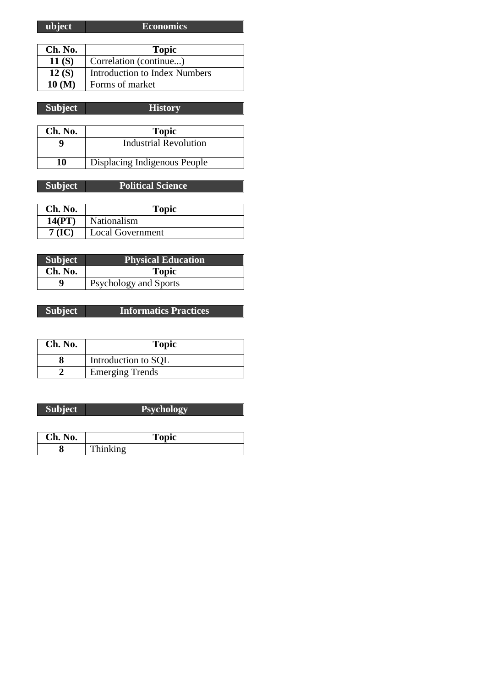| ubject  | <b>Economics</b>                     |
|---------|--------------------------------------|
|         |                                      |
| Ch. No. | <b>Topic</b>                         |
| 11(S)   | Correlation (continue)               |
| 12(S)   | <b>Introduction to Index Numbers</b> |
| 10 (M)  | Forms of market                      |

| <b>Subject</b> | <b>History</b>               |
|----------------|------------------------------|
|                |                              |
| Ch. No.        | <b>Topic</b>                 |
|                | <b>Industrial Revolution</b> |
| 10             | Displacing Indigenous People |

| <b>Subject</b> | <b>Political Science</b> |
|----------------|--------------------------|
|                |                          |
| Ch. No.        | <b>Topic</b>             |
| 14(PT)         | Nationalism              |
| 7 (IC)         | <b>Local Government</b>  |

| <b>Subject</b> | <b>Physical Education</b>    |
|----------------|------------------------------|
| Ch. No.        | <b>Topic</b>                 |
| Q              | <b>Psychology and Sports</b> |

### **Subject Informatics Practices**

| Ch. No. | <b>Topic</b>           |
|---------|------------------------|
|         | Introduction to SQL    |
|         | <b>Emerging Trends</b> |

| Ch. No. | Topic    |
|---------|----------|
| σ       | Thinking |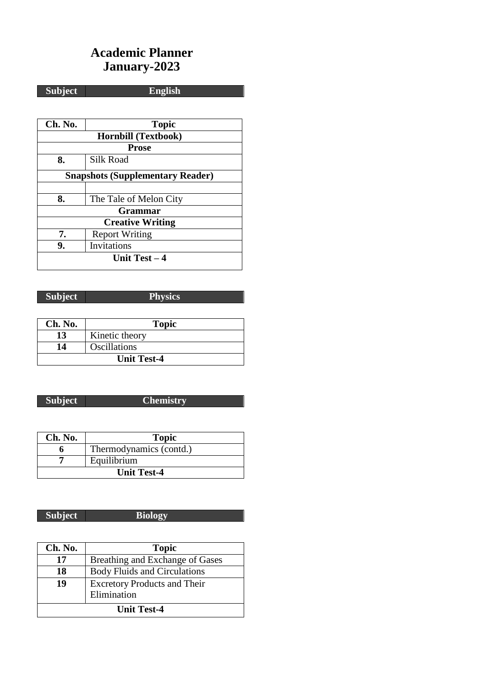# **Academic Planner January-2023**

# **Subject English**

| Ch. No. | <b>Topic</b>                            |  |
|---------|-----------------------------------------|--|
|         | <b>Hornbill (Textbook)</b>              |  |
|         | <b>Prose</b>                            |  |
| 8.      | <b>Silk Road</b>                        |  |
|         | <b>Snapshots (Supplementary Reader)</b> |  |
|         |                                         |  |
| 8.      | The Tale of Melon City                  |  |
|         | Grammar                                 |  |
|         | <b>Creative Writing</b>                 |  |
| 7.      | <b>Report Writing</b>                   |  |
| 9.      | Invitations                             |  |
|         | Unit Test $-4$                          |  |

### **Subject Physics**

| Ch. No. | <b>Topic</b>        |
|---------|---------------------|
| 13      | Kinetic theory      |
| 14      | <b>Oscillations</b> |
|         | <b>Unit Test-4</b>  |

### **Subject Chemistry**

| Ch. No. | <b>Topic</b>            |
|---------|-------------------------|
|         | Thermodynamics (contd.) |
|         | Equilibrium             |
|         | <b>Unit Test-4</b>      |

### **Subject Biology**

| Ch. No.            | <b>Topic</b>                        |
|--------------------|-------------------------------------|
| 17                 | Breathing and Exchange of Gases     |
| 18                 | <b>Body Fluids and Circulations</b> |
| 19                 | <b>Excretory Products and Their</b> |
|                    | Elimination                         |
| <b>Unit Test-4</b> |                                     |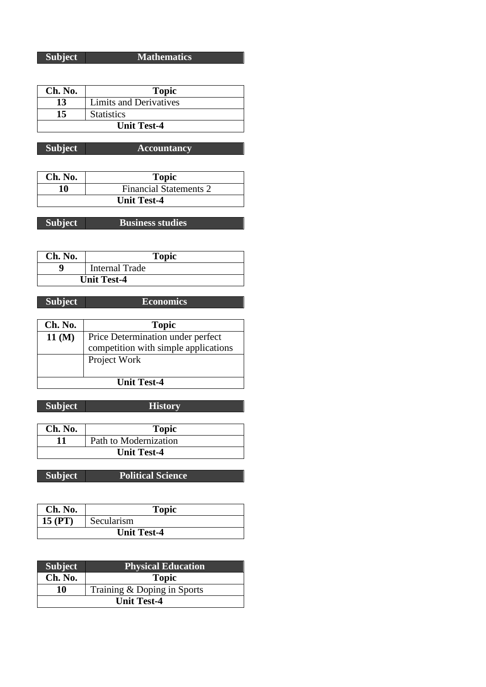### **Subject Mathematics**

| Ch. No. | <b>Topic</b>                  |
|---------|-------------------------------|
| 13      | <b>Limits and Derivatives</b> |
| 15      | <b>Statistics</b>             |
|         | <b>Unit Test-4</b>            |

**Subject Accountancy**

| Ch. No. | <b>Topic</b>                  |
|---------|-------------------------------|
| 10      | <b>Financial Statements 2</b> |
|         | <b>Unit Test-4</b>            |

**Subject Business studies**

| Ch. No. | <b>Topic</b>          |
|---------|-----------------------|
|         | <b>Internal Trade</b> |
|         | <b>Unit Test-4</b>    |

| шне |
|-----|
|-----|

**Subject Economics** 

| Ch. No.              | <b>Topic</b>                         |
|----------------------|--------------------------------------|
| $11 \, (\mathrm{M})$ | Price Determination under perfect    |
|                      | competition with simple applications |
|                      | Project Work                         |
|                      |                                      |
| <b>Unit Test-4</b>   |                                      |

**Subject History**

| Ch. No.            | <b>Topic</b>          |
|--------------------|-----------------------|
|                    | Path to Modernization |
| <b>Unit Test-4</b> |                       |

**Subject Political Science**

| Ch. No.            | <b>Topic</b> |
|--------------------|--------------|
| 15(PT)             | Secularism   |
| <b>Unit Test-4</b> |              |

| <b>Subject</b>     | Physical Education          |
|--------------------|-----------------------------|
| Ch. No.            | <b>Topic</b>                |
| 10                 | Training & Doping in Sports |
| <b>Unit Test-4</b> |                             |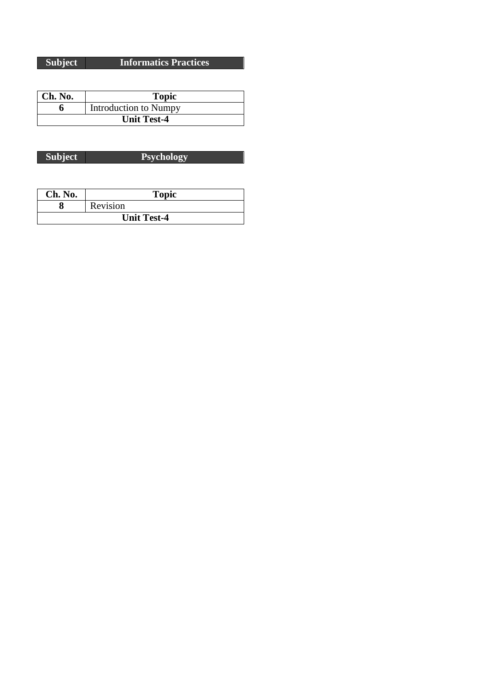**Subject Informatics Practices**

| $ $ Ch. No.        | <b>Topic</b>          |
|--------------------|-----------------------|
|                    | Introduction to Numpy |
| <b>Unit Test-4</b> |                       |

| Ch. No.            | <b>Topic</b> |
|--------------------|--------------|
|                    | Revision     |
| <b>Unit Test-4</b> |              |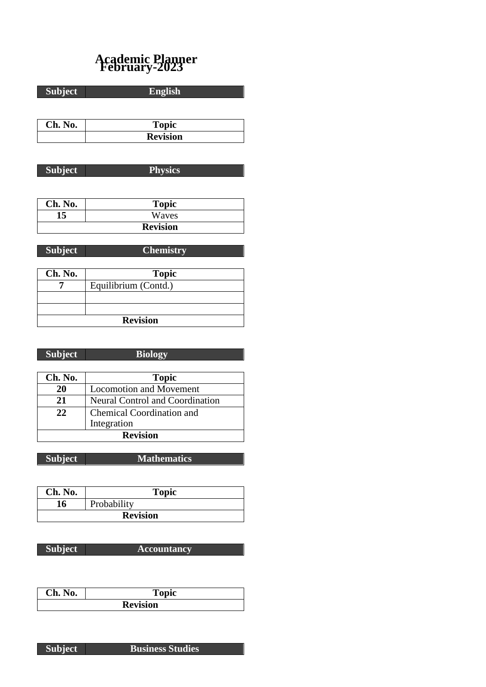# **Academic Planner February-2023**

| <b>Subject</b> | <b>English</b>  |
|----------------|-----------------|
|                |                 |
| Ch. No.        | <b>Topic</b>    |
|                | <b>Revision</b> |
|                |                 |
| <b>Subject</b> | <b>Physics</b>  |
|                |                 |

| Ch. No. | <b>Topic</b>    |
|---------|-----------------|
| 15      | Waves           |
|         | <b>Revision</b> |

**Subject Chemistry**

| Ch. No.         | <b>Topic</b>         |
|-----------------|----------------------|
|                 | Equilibrium (Contd.) |
|                 |                      |
|                 |                      |
| <b>Revision</b> |                      |

| חו |  |
|----|--|
|    |  |
|    |  |

Γ

**Biology** 

| Ch. No.         | <b>Topic</b>                    |
|-----------------|---------------------------------|
| 20              | <b>Locomotion and Movement</b>  |
| 21              | Neural Control and Coordination |
| 22              | Chemical Coordination and       |
|                 | Integration                     |
| <b>Revision</b> |                                 |

**Subject Mathematics**

| Ch. No.         | <b>Topic</b> |
|-----------------|--------------|
| 16              | Probability  |
| <b>Revision</b> |              |

**Subject Accountancy**

| Ch. No. | <b>Topic</b>    |
|---------|-----------------|
|         | <b>Revision</b> |

**Subject Business Studies**